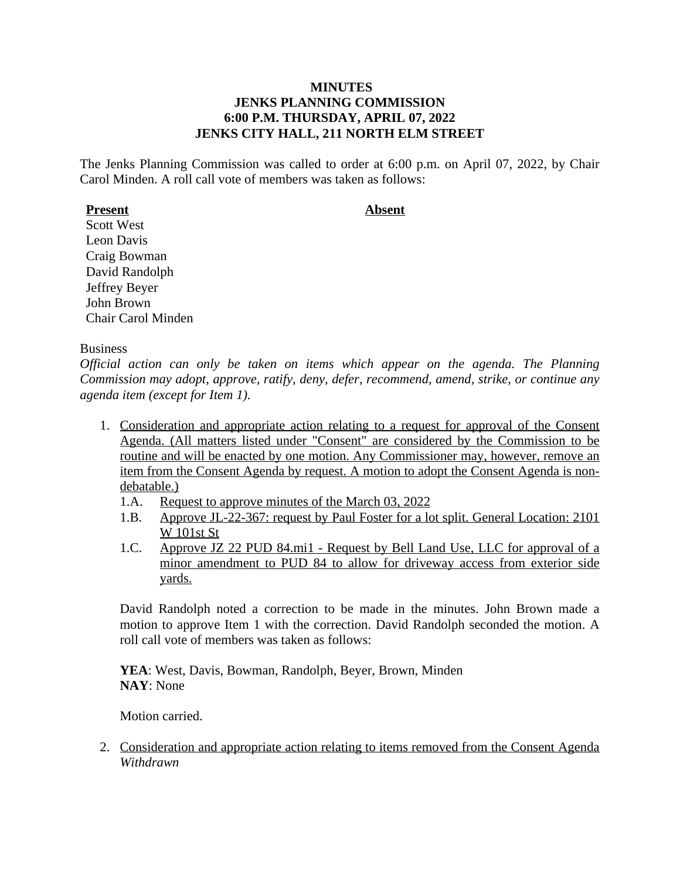# **MINUTES JENKS PLANNING COMMISSION 6:00 P.M. THURSDAY, APRIL 07, 2022 JENKS CITY HALL, 211 NORTH ELM STREET**

The Jenks Planning Commission was called to order at 6:00 p.m. on April 07, 2022, by Chair Carol Minden. A roll call vote of members was taken as follows:

# **Present Absent**

Scott West Leon Davis Craig Bowman David Randolph Jeffrey Beyer John Brown Chair Carol Minden

### **Business**

*Official action can only be taken on items which appear on the agenda. The Planning Commission may adopt, approve, ratify, deny, defer, recommend, amend, strike, or continue any agenda item (except for Item 1).*

- 1. Consideration and appropriate action relating to a request for approval of the Consent Agenda. (All matters listed under "Consent" are considered by the Commission to be routine and will be enacted by one motion. Any Commissioner may, however, remove an item from the Consent Agenda by request. A motion to adopt the Consent Agenda is nondebatable.)
	- 1.A. Request to approve minutes of the March 03, 2022
	- 1.B. Approve JL-22-367: request by Paul Foster for a lot split. General Location: 2101 W 101st St
	- 1.C. Approve JZ 22 PUD 84.mi1 Request by Bell Land Use, LLC for approval of a minor amendment to PUD 84 to allow for driveway access from exterior side yards.

David Randolph noted a correction to be made in the minutes. John Brown made a motion to approve Item 1 with the correction. David Randolph seconded the motion. A roll call vote of members was taken as follows:

**YEA**: West, Davis, Bowman, Randolph, Beyer, Brown, Minden **NAY**: None

Motion carried.

2. Consideration and appropriate action relating to items removed from the Consent Agenda *Withdrawn*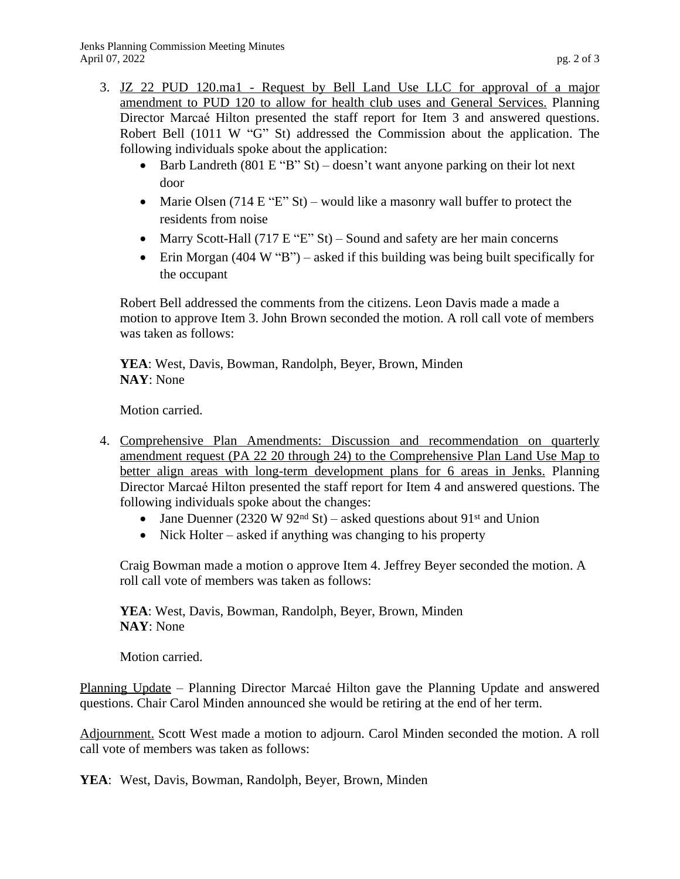- 3. JZ 22 PUD 120.ma1 Request by Bell Land Use LLC for approval of a major amendment to PUD 120 to allow for health club uses and General Services. Planning Director Marcaé Hilton presented the staff report for Item 3 and answered questions. Robert Bell (1011 W "G" St) addressed the Commission about the application. The following individuals spoke about the application:
	- Barb Landreth (801 E "B" St) doesn't want anyone parking on their lot next door
	- Marie Olsen (714 E "E" St) would like a masonry wall buffer to protect the residents from noise
	- Marry Scott-Hall (717 E "E" St) Sound and safety are her main concerns
	- Erin Morgan (404 W "B") asked if this building was being built specifically for the occupant

Robert Bell addressed the comments from the citizens. Leon Davis made a made a motion to approve Item 3. John Brown seconded the motion. A roll call vote of members was taken as follows:

**YEA**: West, Davis, Bowman, Randolph, Beyer, Brown, Minden **NAY**: None

Motion carried.

- 4. Comprehensive Plan Amendments: Discussion and recommendation on quarterly amendment request (PA 22 20 through 24) to the Comprehensive Plan Land Use Map to better align areas with long-term development plans for 6 areas in Jenks. Planning Director Marcaé Hilton presented the staff report for Item 4 and answered questions. The following individuals spoke about the changes:
	- Jane Duenner (2320 W 92<sup>nd</sup> St) asked questions about 91<sup>st</sup> and Union
	- Nick Holter asked if anything was changing to his property

Craig Bowman made a motion o approve Item 4. Jeffrey Beyer seconded the motion. A roll call vote of members was taken as follows:

**YEA**: West, Davis, Bowman, Randolph, Beyer, Brown, Minden **NAY**: None

Motion carried.

Planning Update – Planning Director Marcaé Hilton gave the Planning Update and answered questions. Chair Carol Minden announced she would be retiring at the end of her term.

Adjournment. Scott West made a motion to adjourn. Carol Minden seconded the motion. A roll call vote of members was taken as follows:

**YEA**: West, Davis, Bowman, Randolph, Beyer, Brown, Minden